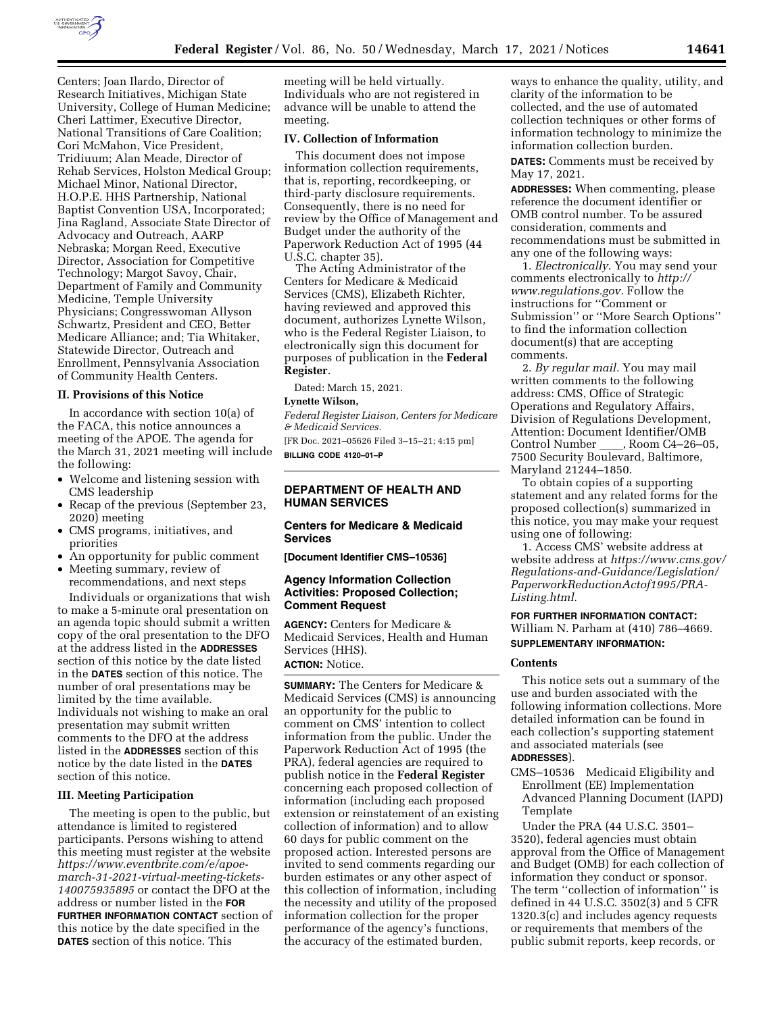

Centers; Joan Ilardo, Director of Research Initiatives, Michigan State University, College of Human Medicine; Cheri Lattimer, Executive Director, National Transitions of Care Coalition; Cori McMahon, Vice President, Tridiuum; Alan Meade, Director of Rehab Services, Holston Medical Group; Michael Minor, National Director, H.O.P.E. HHS Partnership, National Baptist Convention USA, Incorporated; Jina Ragland, Associate State Director of Advocacy and Outreach, AARP Nebraska; Morgan Reed, Executive Director, Association for Competitive Technology; Margot Savoy, Chair, Department of Family and Community Medicine, Temple University Physicians; Congresswoman Allyson Schwartz, President and CEO, Better Medicare Alliance; and; Tia Whitaker, Statewide Director, Outreach and Enrollment, Pennsylvania Association of Community Health Centers.

### **II. Provisions of this Notice**

In accordance with section 10(a) of the FACA, this notice announces a meeting of the APOE. The agenda for the March 31, 2021 meeting will include the following:

- Welcome and listening session with CMS leadership
- Recap of the previous (September 23, 2020) meeting
- CMS programs, initiatives, and priorities
- An opportunity for public comment
- Meeting summary, review of recommendations, and next steps

Individuals or organizations that wish to make a 5-minute oral presentation on an agenda topic should submit a written copy of the oral presentation to the DFO at the address listed in the **ADDRESSES** section of this notice by the date listed in the **DATES** section of this notice. The number of oral presentations may be limited by the time available. Individuals not wishing to make an oral presentation may submit written comments to the DFO at the address listed in the **ADDRESSES** section of this notice by the date listed in the **DATES** section of this notice.

### **III. Meeting Participation**

The meeting is open to the public, but attendance is limited to registered participants. Persons wishing to attend this meeting must register at the website *[https://www.eventbrite.com/e/apoe](https://www.eventbrite.com/e/apoe-march-31-2021-virtual-meeting-tickets-140075935895)[march-31-2021-virtual-meeting-tickets-](https://www.eventbrite.com/e/apoe-march-31-2021-virtual-meeting-tickets-140075935895)[140075935895](https://www.eventbrite.com/e/apoe-march-31-2021-virtual-meeting-tickets-140075935895)* or contact the DFO at the address or number listed in the **FOR FURTHER INFORMATION CONTACT** section of this notice by the date specified in the **DATES** section of this notice. This

meeting will be held virtually. Individuals who are not registered in advance will be unable to attend the meeting.

## **IV. Collection of Information**

This document does not impose information collection requirements, that is, reporting, recordkeeping, or third-party disclosure requirements. Consequently, there is no need for review by the Office of Management and Budget under the authority of the Paperwork Reduction Act of 1995 (44 U.S.C. chapter 35).

The Acting Administrator of the Centers for Medicare & Medicaid Services (CMS), Elizabeth Richter, having reviewed and approved this document, authorizes Lynette Wilson, who is the Federal Register Liaison, to electronically sign this document for purposes of publication in the **Federal Register**.

Dated: March 15, 2021.

### **Lynette Wilson,**

*Federal Register Liaison, Centers for Medicare & Medicaid Services.* 

[FR Doc. 2021–05626 Filed 3–15–21; 4:15 pm] **BILLING CODE 4120–01–P** 

### **DEPARTMENT OF HEALTH AND HUMAN SERVICES**

### **Centers for Medicare & Medicaid Services**

**[Document Identifier CMS–10536]** 

# **Agency Information Collection Activities: Proposed Collection; Comment Request**

**AGENCY:** Centers for Medicare & Medicaid Services, Health and Human Services (HHS). **ACTION:** Notice.

**SUMMARY:** The Centers for Medicare & Medicaid Services (CMS) is announcing an opportunity for the public to comment on CMS' intention to collect information from the public. Under the Paperwork Reduction Act of 1995 (the PRA), federal agencies are required to publish notice in the **Federal Register**  concerning each proposed collection of information (including each proposed extension or reinstatement of an existing collection of information) and to allow 60 days for public comment on the proposed action. Interested persons are invited to send comments regarding our burden estimates or any other aspect of this collection of information, including the necessity and utility of the proposed information collection for the proper performance of the agency's functions, the accuracy of the estimated burden,

ways to enhance the quality, utility, and clarity of the information to be collected, and the use of automated collection techniques or other forms of information technology to minimize the information collection burden.

**DATES:** Comments must be received by May 17, 2021.

**ADDRESSES:** When commenting, please reference the document identifier or OMB control number. To be assured consideration, comments and recommendations must be submitted in any one of the following ways:

1. *Electronically.* You may send your comments electronically to *[http://](http://www.regulations.gov) [www.regulations.gov.](http://www.regulations.gov)* Follow the instructions for ''Comment or Submission'' or ''More Search Options'' to find the information collection document(s) that are accepting comments.

2. *By regular mail.* You may mail written comments to the following address: CMS, Office of Strategic Operations and Regulatory Affairs, Division of Regulations Development, Attention: Document Identifier/OMB Control Number, Room C4–26–05, 7500 Security Boulevard, Baltimore, Maryland 21244–1850.

To obtain copies of a supporting statement and any related forms for the proposed collection(s) summarized in this notice, you may make your request using one of following:

1. Access CMS' website address at website address at *[https://www.cms.gov/](https://www.cms.gov/Regulations-and-Guidance/Legislation/PaperworkReductionActof1995/PRA-Listing.html) [Regulations-and-Guidance/Legislation/](https://www.cms.gov/Regulations-and-Guidance/Legislation/PaperworkReductionActof1995/PRA-Listing.html)  [PaperworkReductionActof1995/PRA-](https://www.cms.gov/Regulations-and-Guidance/Legislation/PaperworkReductionActof1995/PRA-Listing.html)[Listing.html.](https://www.cms.gov/Regulations-and-Guidance/Legislation/PaperworkReductionActof1995/PRA-Listing.html)* 

# **FOR FURTHER INFORMATION CONTACT:**  William N. Parham at (410) 786–4669. **SUPPLEMENTARY INFORMATION:**

#### **Contents**

This notice sets out a summary of the use and burden associated with the following information collections. More detailed information can be found in each collection's supporting statement and associated materials (see **ADDRESSES**).

CMS–10536 Medicaid Eligibility and Enrollment (EE) Implementation Advanced Planning Document (IAPD) Template

Under the PRA (44 U.S.C. 3501– 3520), federal agencies must obtain approval from the Office of Management and Budget (OMB) for each collection of information they conduct or sponsor. The term "collection of information" is defined in 44 U.S.C. 3502(3) and 5 CFR 1320.3(c) and includes agency requests or requirements that members of the public submit reports, keep records, or